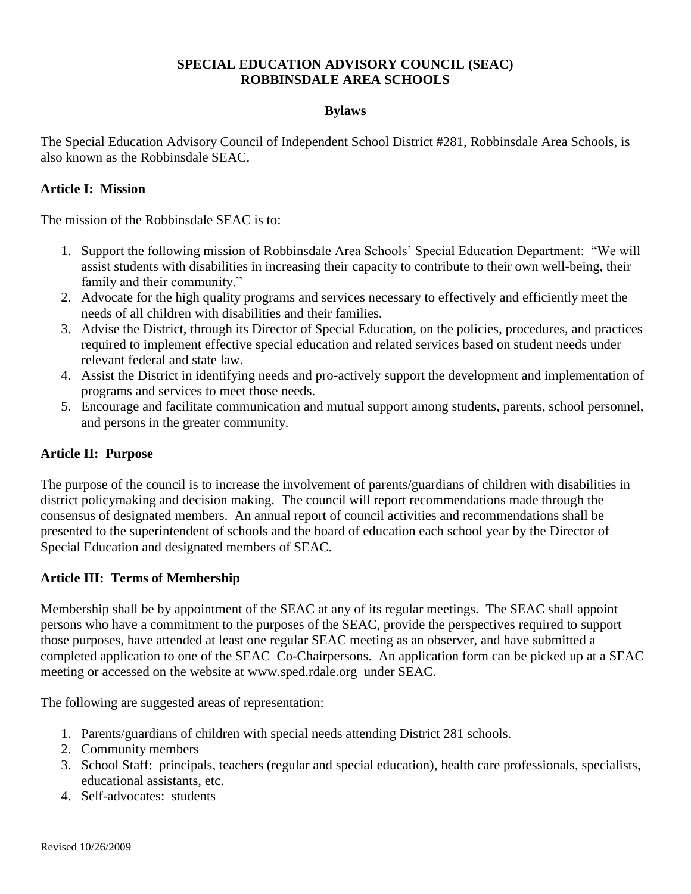# **SPECIAL EDUCATION ADVISORY COUNCIL (SEAC) ROBBINSDALE AREA SCHOOLS**

## **Bylaws**

The Special Education Advisory Council of Independent School District #281, Robbinsdale Area Schools, is also known as the Robbinsdale SEAC.

## **Article I: Mission**

The mission of the Robbinsdale SEAC is to:

- 1. Support the following mission of Robbinsdale Area Schools' Special Education Department: "We will assist students with disabilities in increasing their capacity to contribute to their own well-being, their family and their community."
- 2. Advocate for the high quality programs and services necessary to effectively and efficiently meet the needs of all children with disabilities and their families.
- 3. Advise the District, through its Director of Special Education, on the policies, procedures, and practices required to implement effective special education and related services based on student needs under relevant federal and state law.
- 4. Assist the District in identifying needs and pro-actively support the development and implementation of programs and services to meet those needs.
- 5. Encourage and facilitate communication and mutual support among students, parents, school personnel, and persons in the greater community.

# **Article II: Purpose**

The purpose of the council is to increase the involvement of parents/guardians of children with disabilities in district policymaking and decision making. The council will report recommendations made through the consensus of designated members. An annual report of council activities and recommendations shall be presented to the superintendent of schools and the board of education each school year by the Director of Special Education and designated members of SEAC.

#### **Article III: Terms of Membership**

Membership shall be by appointment of the SEAC at any of its regular meetings. The SEAC shall appoint persons who have a commitment to the purposes of the SEAC, provide the perspectives required to support those purposes, have attended at least one regular SEAC meeting as an observer, and have submitted a completed application to one of the SEAC Co-Chairpersons. An application form can be picked up at a SEAC meeting or accessed on the website at [www.sped.rdale.org](http://www.sped.rdale.org/) under SEAC.

The following are suggested areas of representation:

- 1. Parents/guardians of children with special needs attending District 281 schools.
- 2. Community members
- 3. School Staff: principals, teachers (regular and special education), health care professionals, specialists, educational assistants, etc.
- 4. Self-advocates: students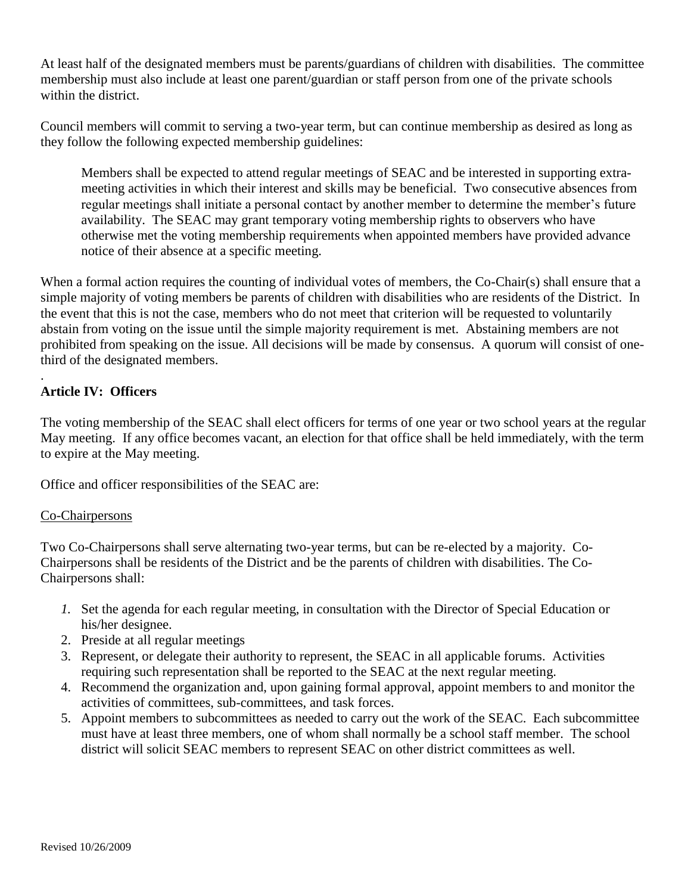At least half of the designated members must be parents/guardians of children with disabilities. The committee membership must also include at least one parent/guardian or staff person from one of the private schools within the district.

Council members will commit to serving a two-year term, but can continue membership as desired as long as they follow the following expected membership guidelines:

Members shall be expected to attend regular meetings of SEAC and be interested in supporting extrameeting activities in which their interest and skills may be beneficial. Two consecutive absences from regular meetings shall initiate a personal contact by another member to determine the member's future availability. The SEAC may grant temporary voting membership rights to observers who have otherwise met the voting membership requirements when appointed members have provided advance notice of their absence at a specific meeting.

When a formal action requires the counting of individual votes of members, the Co-Chair(s) shall ensure that a simple majority of voting members be parents of children with disabilities who are residents of the District. In the event that this is not the case, members who do not meet that criterion will be requested to voluntarily abstain from voting on the issue until the simple majority requirement is met. Abstaining members are not prohibited from speaking on the issue. All decisions will be made by consensus. A quorum will consist of onethird of the designated members.

# **Article IV: Officers**

.

The voting membership of the SEAC shall elect officers for terms of one year or two school years at the regular May meeting. If any office becomes vacant, an election for that office shall be held immediately, with the term to expire at the May meeting.

Office and officer responsibilities of the SEAC are:

#### Co-Chairpersons

Two Co-Chairpersons shall serve alternating two-year terms, but can be re-elected by a majority.Co-Chairpersons shall be residents of the District and be the parents of children with disabilities. The Co-Chairpersons shall:

- *1.* Set the agenda for each regular meeting, in consultation with the Director of Special Education or his/her designee.
- 2. Preside at all regular meetings
- 3. Represent, or delegate their authority to represent, the SEAC in all applicable forums. Activities requiring such representation shall be reported to the SEAC at the next regular meeting.
- 4. Recommend the organization and, upon gaining formal approval, appoint members to and monitor the activities of committees, sub-committees, and task forces.
- 5. Appoint members to subcommittees as needed to carry out the work of the SEAC. Each subcommittee must have at least three members, one of whom shall normally be a school staff member. The school district will solicit SEAC members to represent SEAC on other district committees as well.